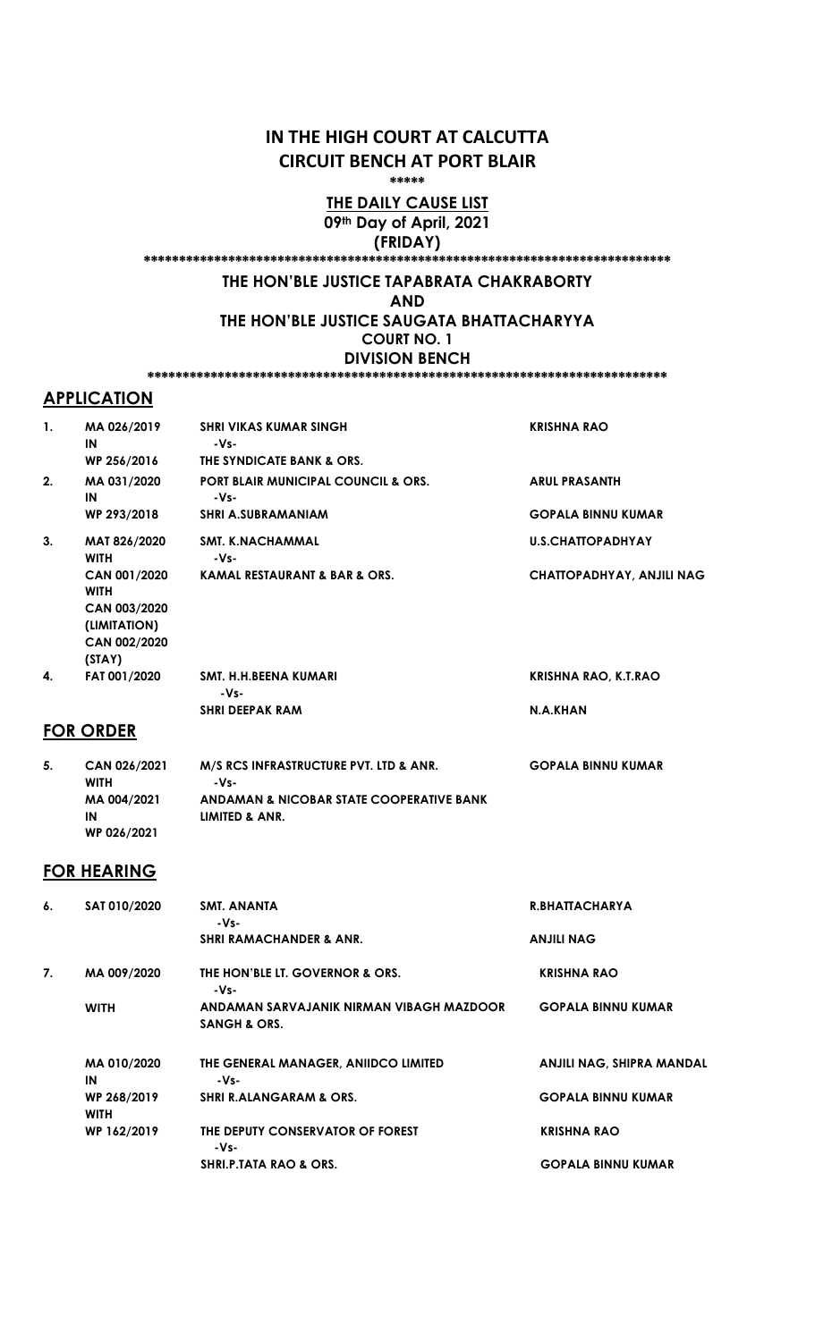# IN THE HIGH COURT AT CALCUTTA CIRCUIT BENCH AT PORT BLAIR

\*\*\*\*\*

#### THE DAILY CAUSE LIST 09th Day of April, 2021 (FRIDAY)

\*\*\*\*\*\*\*\*\*\*\*\*\*\*\*\*\*\*\*\*\*\*\*\*\*\*\*\*\*\*\*\*\*\*\*\*\*\*\*\*\*\*\*\*\*\*\*\*\*\*\*\*\*\*\*\*\*\*\*\*\*\*\*\*\*\*\*\*\*\*\*\*\*\*\*

# THE HON'BLE JUSTICE TAPABRATA CHAKRABORTY

AND

THE HON'BLE JUSTICE SAUGATA BHATTACHARYYA COURT NO. 1 DIVISION BENCH

\*\*\*\*\*\*\*\*\*\*\*\*\*\*\*\*\*\*\*\*\*\*\*\*\*\*\*\*\*\*\*\*\*\*\*\*\*\*\*\*\*\*\*\*\*\*\*\*\*\*\*\*\*\*\*\*\*\*\*\*\*\*\*\*\*\*\*\*\*\*\*\*\*\*

# **APPLICATION**

| 1. | MA 026/2019<br>IN            | <b>SHRI VIKAS KUMAR SINGH</b><br>-Vs-                  | <b>KRISHNA RAO</b>               |
|----|------------------------------|--------------------------------------------------------|----------------------------------|
|    | WP 256/2016                  | THE SYNDICATE BANK & ORS.                              |                                  |
| 2. | MA 031/2020<br>IN            | <b>PORT BLAIR MUNICIPAL COUNCIL &amp; ORS.</b><br>-Vs- | <b>ARUL PRASANTH</b>             |
|    | WP 293/2018                  | <b>SHRI A.SUBRAMANIAM</b>                              | <b>GOPALA BINNU KUMAR</b>        |
| 3. | MAT 826/2020<br><b>WITH</b>  | <b>SMT. K.NACHAMMAL</b><br>-Vs-                        | <b>U.S.CHATTOPADHYAY</b>         |
|    | CAN 001/2020<br><b>WITH</b>  | <b>KAMAL RESTAURANT &amp; BAR &amp; ORS.</b>           | <b>CHATTOPADHYAY, ANJILI NAG</b> |
|    | CAN 003/2020<br>(LIMITATION) |                                                        |                                  |
|    | CAN 002/2020                 |                                                        |                                  |
|    | (STAY)                       |                                                        |                                  |
| 4. | FAT 001/2020                 | SMT. H.H.BEENA KUMARI<br>$-Vs-$                        | <b>KRISHNA RAO, K.T.RAO</b>      |
|    |                              | <b>SHRI DEEPAK RAM</b>                                 | N.A.KHAN                         |

## FOR ORDER

| 5. | CAN 026/2021 | M/S RCS INFRASTRUCTURE PVT. LTD & ANR.              | <b>GOPALA BINNU KUMAR</b> |
|----|--------------|-----------------------------------------------------|---------------------------|
|    | <b>WITH</b>  | -Vs-                                                |                           |
|    | MA 004/2021  | <b>ANDAMAN &amp; NICOBAR STATE COOPERATIVE BANK</b> |                           |
|    | IN           | LIMITED & ANR.                                      |                           |
|    | WP 026/2021  |                                                     |                           |

# FOR HEARING

| 6. | SAT 010/2020               | SMT. ANANTA<br>-Vs-                                                 | <b>R.BHATTACHARYA</b>            |
|----|----------------------------|---------------------------------------------------------------------|----------------------------------|
|    |                            | <b>SHRI RAMACHANDER &amp; ANR.</b>                                  | <b>ANJILI NAG</b>                |
| 7. | MA 009/2020                | THE HON'BLE LT. GOVERNOR & ORS.<br>-Vs-                             | <b>KRISHNA RAO</b>               |
|    | <b>WITH</b>                | ANDAMAN SARVAJANIK NIRMAN VIBAGH MAZDOOR<br><b>SANGH &amp; ORS.</b> | <b>GOPALA BINNU KUMAR</b>        |
|    | MA 010/2020<br>IN          | THE GENERAL MANAGER, ANIIDCO LIMITED<br>-Vs-                        | <b>ANJILI NAG, SHIPRA MANDAL</b> |
|    | WP 268/2019<br><b>WITH</b> | <b>SHRI R.ALANGARAM &amp; ORS.</b>                                  | <b>GOPALA BINNU KUMAR</b>        |
|    | WP 162/2019                | THE DEPUTY CONSERVATOR OF FOREST<br>-Vs-                            | <b>KRISHNA RAO</b>               |
|    |                            | <b>SHRI.P.TATA RAO &amp; ORS.</b>                                   | <b>GOPALA BINNU KUMAR</b>        |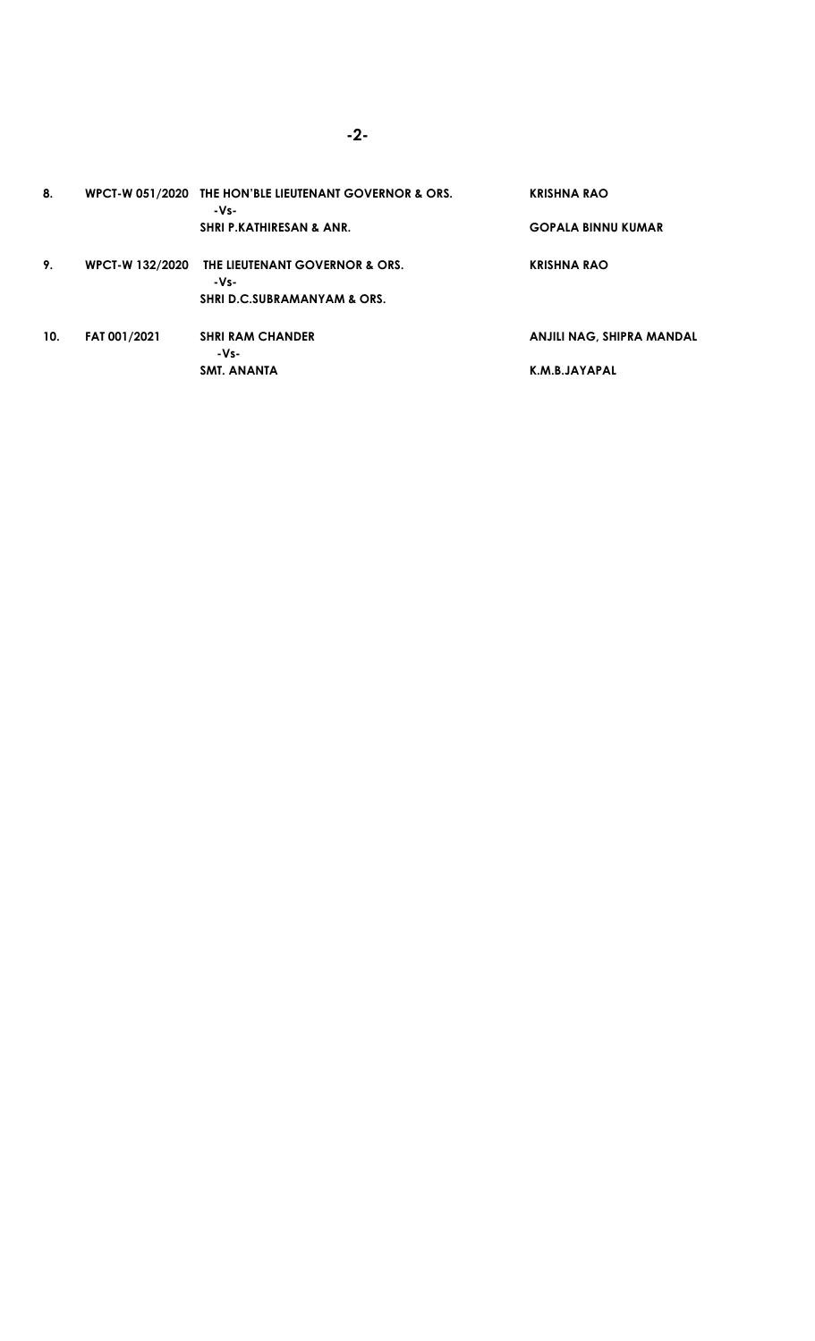| 8.  |                        | WPCT-W 051/2020 THE HON'BLE LIEUTENANT GOVERNOR & ORS.<br>-Vs- | <b>KRISHNA RAO</b>               |
|-----|------------------------|----------------------------------------------------------------|----------------------------------|
|     |                        | <b>SHRI P.KATHIRESAN &amp; ANR.</b>                            | <b>GOPALA BINNU KUMAR</b>        |
| 9.  | <b>WPCT-W 132/2020</b> | <b>THE LIEUTENANT GOVERNOR &amp; ORS.</b><br>$-Vs-$            | <b>KRISHNA RAO</b>               |
|     |                        | <b>SHRI D.C.SUBRAMANYAM &amp; ORS.</b>                         |                                  |
| 10. | <b>FAT 001/2021</b>    | <b>SHRI RAM CHANDER</b><br>-Vs-                                | <b>ANJILI NAG, SHIPRA MANDAL</b> |
|     |                        | <b>SMT. ANANTA</b>                                             | K.M.B.JAYAPAL                    |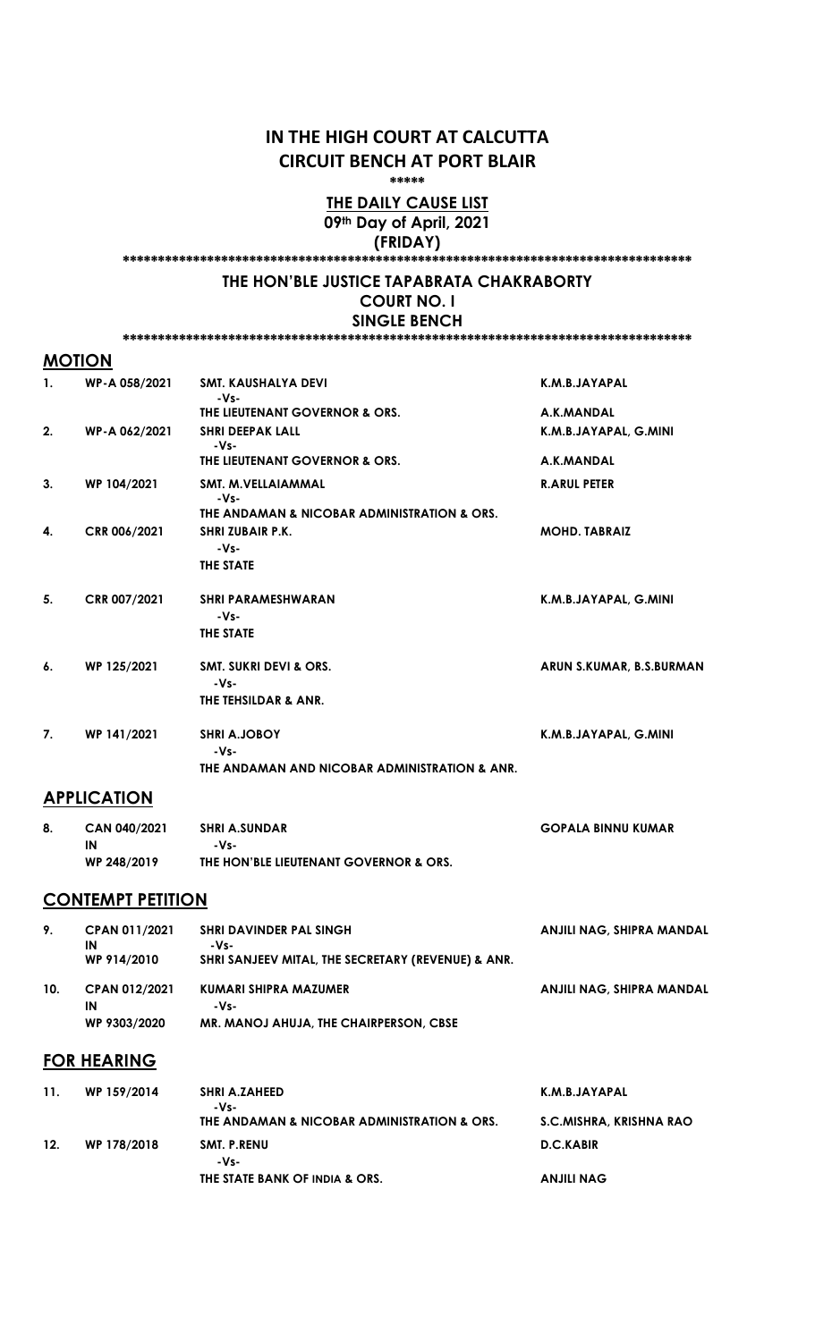# IN THE HIGH COURT AT CALCUTTA CIRCUIT BENCH AT PORT BLAIR

\*\*\*\*\*

#### THE DAILY CAUSE LIST 09th Day of April, 2021 (FRIDAY)

\*\*\*\*\*\*\*\*\*\*\*\*\*\*\*\*\*\*\*\*\*\*\*\*\*\*\*\*\*\*\*\*\*\*\*\*\*\*\*\*\*\*\*\*\*\*\*\*\*\*\*\*\*\*\*\*\*\*\*\*\*\*\*\*\*\*\*\*\*\*\*\*\*\*\*\*\*\*\*\*\*

#### THE HON'BLE JUSTICE TAPABRATA CHAKRABORTY COURT NO. I SINGLE BENCH

#### \*\*\*\*\*\*\*\*\*\*\*\*\*\*\*\*\*\*\*\*\*\*\*\*\*\*\*\*\*\*\*\*\*\*\*\*\*\*\*\*\*\*\*\*\*\*\*\*\*\*\*\*\*\*\*\*\*\*\*\*\*\*\*\*\*\*\*\*\*\*\*\*\*\*\*\*\*\*\*\*\*

## **MOTION**

| $\mathbf{1}$ . | WP-A 058/2021 | <b>SMT. KAUSHALYA DEVI</b><br>-Vs-            | K.M.B.JAYAPAL            |
|----------------|---------------|-----------------------------------------------|--------------------------|
|                |               | THE LIEUTENANT GOVERNOR & ORS.                | A.K.MANDAL               |
| 2.             | WP-A 062/2021 | <b>SHRI DEEPAK LALL</b><br>$-Vs-$             | K.M.B.JAYAPAL, G.MINI    |
|                |               | THE LIEUTENANT GOVERNOR & ORS.                | A.K.MANDAL               |
| 3.             | WP 104/2021   | SMT. M.VELLAIAMMAL<br>-Vs-                    | <b>R.ARUL PETER</b>      |
|                |               | THE ANDAMAN & NICOBAR ADMINISTRATION & ORS.   |                          |
| 4.             | CRR 006/2021  | <b>SHRIZUBAIR P.K.</b><br>-Vs-                | <b>MOHD. TABRAIZ</b>     |
|                |               | THE STATE                                     |                          |
| 5.             | CRR 007/2021  | <b>SHRI PARAMESHWARAN</b><br>-Vs-             | K.M.B.JAYAPAL, G.MINI    |
|                |               | THE STATE                                     |                          |
| 6.             | WP 125/2021   | <b>SMT. SUKRI DEVI &amp; ORS.</b><br>$-Vs-$   | ARUN S.KUMAR, B.S.BURMAN |
|                |               | THE TEHSILDAR & ANR.                          |                          |
| 7.             | WP 141/2021   | <b>SHRI A.JOBOY</b><br>$-Vs-$                 | K.M.B.JAYAPAL, G.MINI    |
|                |               | THE ANDAMAN AND NICOBAR ADMINISTRATION & ANR. |                          |

# **APPLICATION**

| CAN 040/2021 | <b>SHRI A.SUNDAR</b>                   | <b>GOPALA BINNU KUMAR</b> |
|--------------|----------------------------------------|---------------------------|
| IN           | -Vs-                                   |                           |
| WP 248/2019  | THE HON'BLE LIEUTENANT GOVERNOR & ORS. |                           |

#### **CONTEMPT PETITION**

| 9.  | CPAN 011/2021<br>IN<br>WP 914/2010         | <b>SHRI DAVINDER PAL SINGH</b><br>$-Vs$ -<br>SHRI SANJEEV MITAL, THE SECRETARY (REVENUE) & ANR. | ANJILI NAG, SHIPRA MANDAL |
|-----|--------------------------------------------|-------------------------------------------------------------------------------------------------|---------------------------|
| 10. | <b>CPAN 012/2021</b><br>IN<br>WP 9303/2020 | KUMARI SHIPRA MAZUMER<br>-Vs-<br>MR. MANOJ AHUJA, THE CHAIRPERSON, CBSE                         | ANJILI NAG, SHIPRA MANDAL |

#### FOR HEARING

| <b>11.</b> | WP 159/2014 | <b>SHRI A.ZAHEED</b><br>-Vs-                | K.M.B.JAYAPAL           |
|------------|-------------|---------------------------------------------|-------------------------|
|            |             | THE ANDAMAN & NICOBAR ADMINISTRATION & ORS. | S.C.MISHRA, KRISHNA RAO |
| 12.        | WP 178/2018 | SMT. P.RENU<br>$-Vs-$                       | D.C.KABIR               |
|            |             | THE STATE BANK OF INDIA & ORS.              | ANJILI NAG              |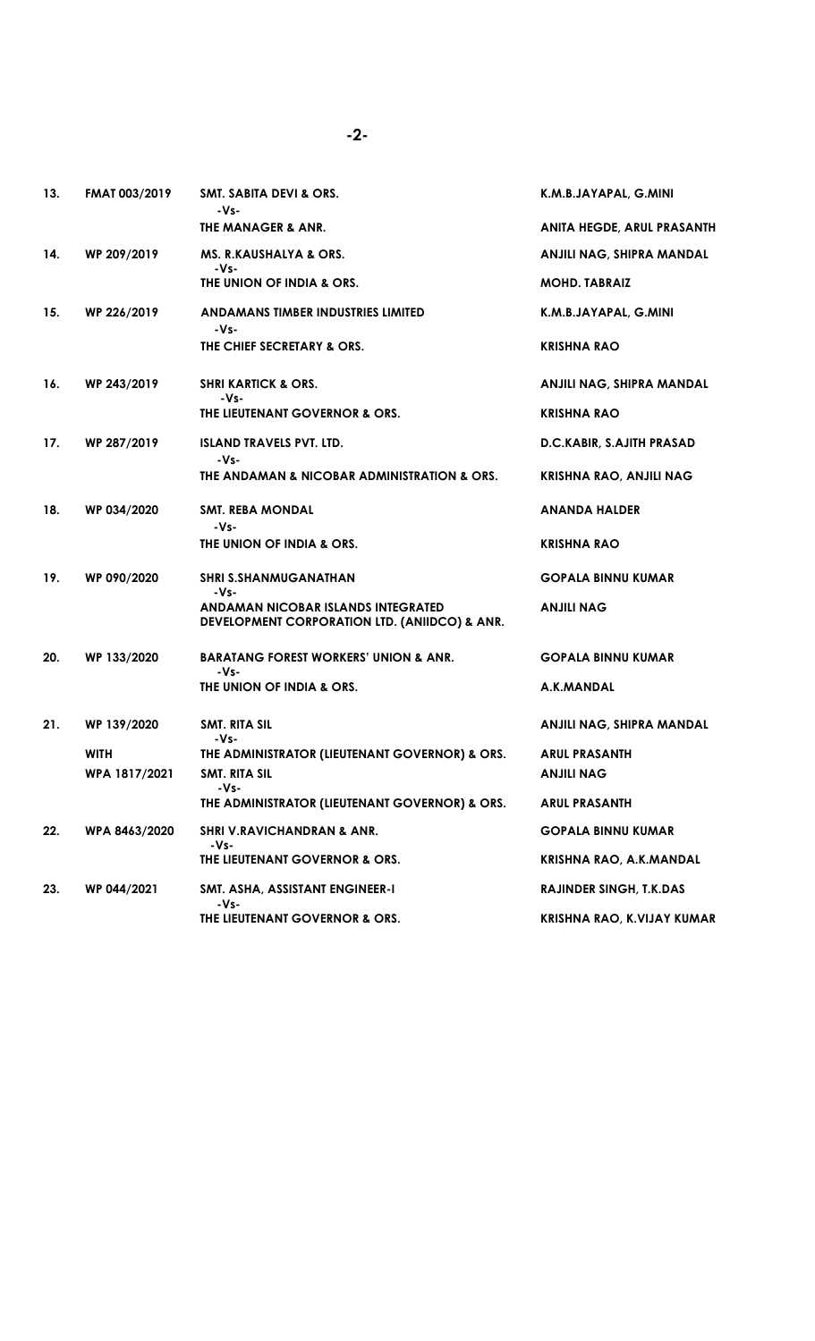| 13. | <b>FMAT 003/2019</b> | <b>SMT. SABITA DEVI &amp; ORS.</b><br>-Vs-                                          | K.M.B.JAYAPAL, G.MINI             |
|-----|----------------------|-------------------------------------------------------------------------------------|-----------------------------------|
|     |                      | THE MANAGER & ANR.                                                                  | <b>ANITA HEGDE, ARUL PRASANTH</b> |
| 14. | WP 209/2019          | MS. R.KAUSHALYA & ORS.                                                              | ANJILI NAG, SHIPRA MANDAL         |
|     |                      | -Vs-<br>THE UNION OF INDIA & ORS.                                                   | <b>MOHD. TABRAIZ</b>              |
| 15. | WP 226/2019          | ANDAMANS TIMBER INDUSTRIES LIMITED<br>$-Vs-$                                        | K.M.B.JAYAPAL, G.MINI             |
|     |                      | THE CHIEF SECRETARY & ORS.                                                          | <b>KRISHNA RAO</b>                |
| 16. | WP 243/2019          | <b>SHRI KARTICK &amp; ORS.</b><br>-Vs-                                              | ANJILI NAG, SHIPRA MANDAL         |
|     |                      | THE LIEUTENANT GOVERNOR & ORS.                                                      | KRISHNA RAO                       |
| 17. | WP 287/2019          | <b>ISLAND TRAVELS PVT. LTD.</b><br>-Vs-                                             | D.C.KABIR, S.AJITH PRASAD         |
|     |                      | THE ANDAMAN & NICOBAR ADMINISTRATION & ORS.                                         | <b>KRISHNA RAO, ANJILI NAG</b>    |
| 18. | WP 034/2020          | <b>SMT. REBA MONDAL</b><br>-Vs-                                                     | <b>ANANDA HALDER</b>              |
|     |                      | THE UNION OF INDIA & ORS.                                                           | <b>KRISHNA RAO</b>                |
| 19. | WP 090/2020          | <b>SHRI S.SHANMUGANATHAN</b><br>-Vs-                                                | <b>GOPALA BINNU KUMAR</b>         |
|     |                      | ANDAMAN NICOBAR ISLANDS INTEGRATED<br>DEVELOPMENT CORPORATION LTD. (ANIIDCO) & ANR. | <b>ANJILI NAG</b>                 |
| 20. | WP 133/2020          | <b>BARATANG FOREST WORKERS' UNION &amp; ANR.</b><br>-Vs-                            | <b>GOPALA BINNU KUMAR</b>         |
|     |                      | THE UNION OF INDIA & ORS.                                                           | A.K.MANDAL                        |
| 21. | WP 139/2020          | SMT. RITA SIL<br>$-Vs-$                                                             | ANJILI NAG, SHIPRA MANDAL         |
|     | <b>WITH</b>          | THE ADMINISTRATOR (LIEUTENANT GOVERNOR) & ORS.                                      | <b>ARUL PRASANTH</b>              |
|     | WPA 1817/2021        | SMT. RITA SIL                                                                       | ANJILI NAG                        |
|     |                      | -Vs-<br>THE ADMINISTRATOR (LIEUTENANT GOVERNOR) & ORS.                              | <b>ARUL PRASANTH</b>              |
| 22. | WPA 8463/2020        | <b>SHRI V.RAVICHANDRAN &amp; ANR.</b><br>-Vs-                                       | <b>GOPALA BINNU KUMAR</b>         |
|     |                      | THE LIEUTENANT GOVERNOR & ORS.                                                      | KRISHNA RAO, A.K.MANDAL           |
| 23. | WP 044/2021          | SMT. ASHA, ASSISTANT ENGINEER-I<br>-Vs-                                             | <b>RAJINDER SINGH, T.K.DAS</b>    |
|     |                      | THE LIEUTENANT GOVERNOR & ORS.                                                      | KRISHNA RAO, K.VIJAY KUMAR        |

-2-